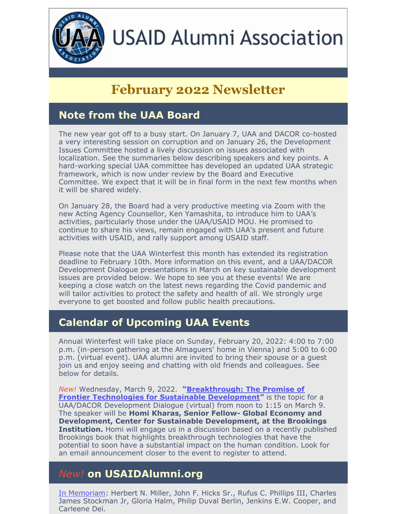

# **USAID Alumni Association**

# **February 2022 Newsletter**

# **Note from the UAA Board**

The new year got off to a busy start. On January 7, UAA and DACOR co-hosted a very interesting session on corruption and on January 26, the Development Issues Committee hosted a lively discussion on issues associated with localization. See the summaries below describing speakers and key points. A hard-working special UAA committee has developed an updated UAA strategic framework, which is now under review by the Board and Executive Committee. We expect that it will be in final form in the next few months when it will be shared widely.

On January 28, the Board had a very productive meeting via Zoom with the new Acting Agency Counsellor, Ken Yamashita, to introduce him to UAA's activities, particularly those under the UAA/USAID MOU. He promised to continue to share his views, remain engaged with UAA's present and future activities with USAID, and rally support among USAID staff.

Please note that the UAA Winterfest this month has extended its registration deadline to February 10th. More information on this event, and a UAA/DACOR Development Dialogue presentations in March on key sustainable development issues are provided below. We hope to see you at these events! We are keeping a close watch on the latest news regarding the Covid pandemic and will tailor activities to protect the safety and health of all. We strongly urge everyone to get boosted and follow public health precautions.

# **Calendar of Upcoming UAA Events**

Annual Winterfest will take place on Sunday, February 20, 2022: 4:00 to 7:00 p.m. (in-person gathering at the Almaguers' home in Vienna) and 5:00 to 6:00 p.m. (virtual event). UAA alumni are invited to bring their spouse or a guest join us and enjoy seeing and chatting with old friends and colleagues. See below for details.

*New!* Wednesday, March 9, 2022. **["Breakthrough:](https://www.brookings.edu/blog/future-development/2022/01/18/breakthrough-the-promise-of-frontier-technologies-for-sustainable-development/) The Promise of Frontier Technologies for Sustainable Development"** is the topic for a UAA/DACOR Development Dialogue (virtual) from noon to 1:15 on March 9. The speaker will be **Homi Kharas, Senior Fellow- Global Economy and Development, Center for Sustainable Development, at the Brookings Institution.** Homi will engage us in a discussion based on a recently published Brookings book that highlights breakthrough technologies that have the potential to soon have a substantial impact on the human condition. Look for an email announcement closer to the event to register to attend.

# *New!* **on USAIDAlumni.org**

In [Memoriam:](https://www.usaidalumni.org/tribute/) Herbert N. Miller, John F. Hicks Sr., Rufus C. Phillips III, Charles James Stockman Jr, Gloria Halm, Philip Duval Berlin, Jenkins E.W. Cooper, and Carleene Dei.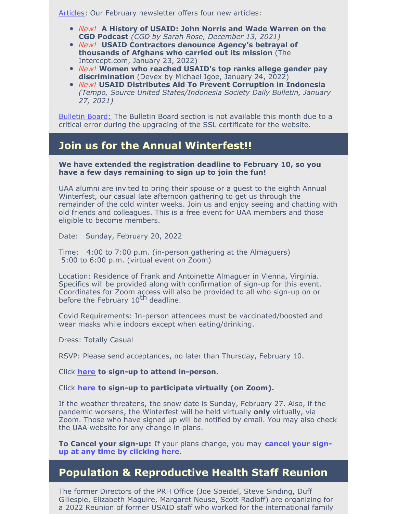[Articles](https://usaidalumni.org/development-issues/articles/): Our February newsletter offers four new articles:

- *New!* **A History of USAID: John Norris and Wade Warren on the CGD Podcast** *(CGD by Sarah Rose, December 13, 2021)*
- *New!* **USAID Contractors denounce Agency's betrayal of thousands of Afghans who carried out its mission** (The Intercept.com, January 23, 2022)
- *New!* **Women who reached USAID's top ranks allege gender pay [discrimination](https://www.devex.com/news/women-who-reached-usaid-s-top-ranks-allege-gender-pay-discrimination-101519?)** (Devex by Michael Igoe, January 24, 2022)
- *New!* **USAID Distributes Aid To Prevent Corruption in Indonesia** *(Tempo, Source United States/Indonesia Society Daily Bulletin, January 27, 2021)*

Bulletin Board: The Bulletin Board section is not available this month due to a critical error during the upgrading of the SSL certificate for the website.

## **Join us for the Annual Winterfest!!**

#### **We have extended the registration deadline to February 10, so you have a few days remaining to sign up to join the fun!**

UAA alumni are invited to bring their spouse or a guest to the eighth Annual Winterfest, our casual late afternoon gathering to get us through the remainder of the cold winter weeks. Join us and enjoy seeing and chatting with old friends and colleagues. This is a free event for UAA members and those eligible to become members.

Date: Sunday, February 20, 2022

Time: 4:00 to 7:00 p.m. (in-person gathering at the Almaguers) 5:00 to 6:00 p.m. (virtual event on Zoom)

Location: Residence of Frank and Antoinette Almaguer in Vienna, Virginia. Specifics will be provided along with confirmation of sign-up for this event. Coordinates for Zoom access will also be provided to all who sign-up on or before the February 10<sup>th</sup> deadline.

Covid Requirements: In-person attendees must be vaccinated/boosted and wear masks while indoors except when eating/drinking.

Dress: Totally Casual

RSVP: Please send acceptances, no later than Thursday, February 10.

Click **[here](https://conta.cc/3mB5DFR) to sign-up to attend in-person.**

Click **[here](https://conta.cc/3ENblLc) to sign-up to participate virtually (on Zoom).**

If the weather threatens, the snow date is Sunday, February 27. Also, if the pandemic worsens, the Winterfest will be held virtually **only** virtually, via Zoom. Those who have signed up will be notified by email. You may also check the UAA website for any change in plans.

**To Cancel your [sign-up:](https://conta.cc/3solrhD)** If your plans change, you may **cancel your signup at any time by clicking here**.

### **Population & Reproductive Health Staff Reunion**

The former Directors of the PRH Office (Joe Speidel, Steve Sinding, Duff Gillespie, Elizabeth Maguire, Margaret Neuse, Scott Radloff) are organizing for a 2022 Reunion of former USAID staff who worked for the international family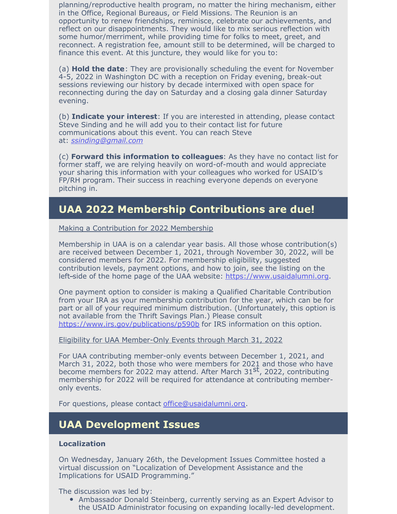planning/reproductive health program, no matter the hiring mechanism, either in the Office, Regional Bureaus, or Field Missions. The Reunion is an opportunity to renew friendships, reminisce, celebrate our achievements, and reflect on our disappointments. They would like to mix serious reflection with some humor/merriment, while providing time for folks to meet, greet, and reconnect. A registration fee, amount still to be determined, will be charged to finance this event. At this juncture, they would like for you to:

(a) **Hold the date**: They are provisionally scheduling the event for November 4-5, 2022 in Washington DC with a reception on Friday evening, break-out sessions reviewing our history by decade intermixed with open space for reconnecting during the day on Saturday and a closing gala dinner Saturday evening.

(b) **Indicate your interest**: If you are interested in attending, please contact Steve Sinding and he will add you to their contact list for future communications about this event. You can reach Steve at: *[ssinding@gmail.com](mailto:ssinding@gmail.com)*

(c) **Forward this information to colleagues**: As they have no contact list for former staff, we are relying heavily on word-of-mouth and would appreciate your sharing this information with your colleagues who worked for USAID's FP/RH program. Their success in reaching everyone depends on everyone pitching in.

# **UAA 2022 Membership Contributions are due!**

Making a Contribution for 2022 Membership

Membership in UAA is on a calendar year basis. All those whose contribution(s) are received between December 1, 2021, through November 30, 2022, will be considered members for 2022. For membership eligibility, suggested contribution levels, payment options, and how to join, see the listing on the left-side of the home page of the UAA website: [https://www.usaidalumni.org](https://www.usaidalumni.org/).

One payment option to consider is making a Qualified Charitable Contribution from your IRA as your membership contribution for the year, which can be for part or all of your required minimum distribution. (Unfortunately, this option is not available from the Thrift Savings Plan.) Please consult <https://www.irs.gov/publications/p590b> for IRS information on this option.

#### Eligibility for UAA Member-Only Events through March 31, 2022

For UAA contributing member-only events between December 1, 2021, and March 31, 2022, both those who were members for 2021 and those who have become members for 2022 may attend. After March 31<sup>st</sup>, 2022, contributing membership for 2022 will be required for attendance at contributing memberonly events.

For questions, please contact [office@usaidalumni.org](mailto:office@usaidalumni.org).

# **UAA Development Issues**

#### **Localization**

On Wednesday, January 26th, the Development Issues Committee hosted a virtual discussion on "Localization of Development Assistance and the Implications for USAID Programming."

The discussion was led by:

Ambassador Donald Steinberg, currently serving as an Expert Advisor to the USAID Administrator focusing on expanding locally-led development.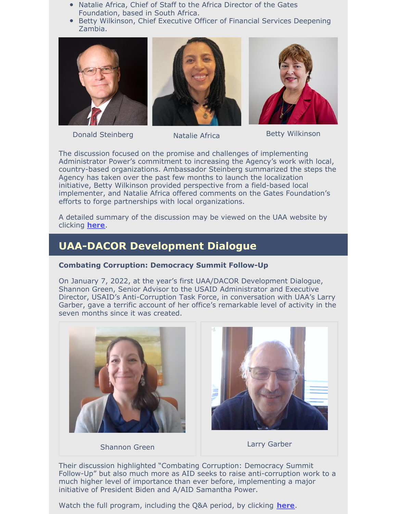- Natalie Africa, Chief of Staff to the Africa Director of the Gates Foundation, based in South Africa.
- Betty Wilkinson, Chief Executive Officer of Financial Services Deepening Zambia.







Donald Steinberg Natalie Africa Betty Wilkinson

The discussion focused on the promise and challenges of implementing Administrator Power's commitment to increasing the Agency's work with local, country-based organizations. Ambassador Steinberg summarized the steps the Agency has taken over the past few months to launch the localization initiative, Betty Wilkinson provided perspective from a field-based local implementer, and Natalie Africa offered comments on the Gates Foundation's efforts to forge partnerships with local organizations.

A detailed summary of the discussion may be viewed on the UAA website by clicking **[here](https://usaidalumni.org/wp-content/uploads/2022/02/Summary-Record-2022-01-26.pdf)**.

# **UAA-DACOR Development Dialogue**

#### **Combating Corruption: Democracy Summit Follow-Up**

On January 7, 2022, at the year's first UAA/DACOR Development Dialogue, Shannon Green, Senior Advisor to the USAID Administrator and Executive Director, USAID's Anti-Corruption Task Force, in conversation with UAA's Larry Garber, gave a terrific account of her office's remarkable level of activity in the seven months since it was created.



Shannon Green



Larry Garber

Their discussion highlighted "Combating Corruption: Democracy Summit Follow-Up" but also much more as AID seeks to raise anti-corruption work to a much higher level of importance than ever before, implementing a major initiative of President Biden and A/AID Samantha Power.

Watch the full program, including the Q&A period, by clicking **[here](https://vimeo.com/663494250/438700d643)**.